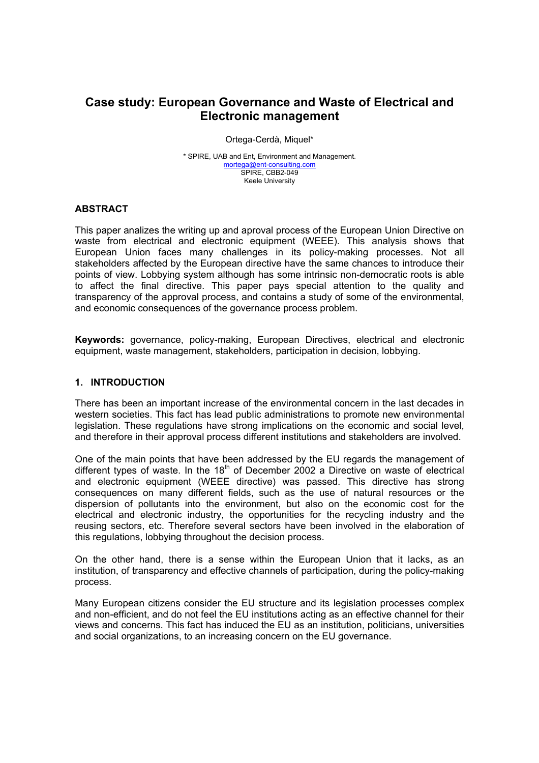# **Case study: European Governance and Waste of Electrical and Electronic management**

Ortega-Cerdà, Miquel\*

\* SPIRE, UAB and Ent, Environment and Management. mortega@ent-consulting.com SPIRE, CBB2-049 Keele University

## **ABSTRACT**

This paper analizes the writing up and aproval process of the European Union Directive on waste from electrical and electronic equipment (WEEE). This analysis shows that European Union faces many challenges in its policy-making processes. Not all stakeholders affected by the European directive have the same chances to introduce their points of view. Lobbying system although has some intrinsic non-democratic roots is able to affect the final directive. This paper pays special attention to the quality and transparency of the approval process, and contains a study of some of the environmental, and economic consequences of the governance process problem.

**Keywords:** governance, policy-making, European Directives, electrical and electronic equipment, waste management, stakeholders, participation in decision, lobbying.

## **1. INTRODUCTION**

There has been an important increase of the environmental concern in the last decades in western societies. This fact has lead public administrations to promote new environmental legislation. These regulations have strong implications on the economic and social level, and therefore in their approval process different institutions and stakeholders are involved.

One of the main points that have been addressed by the EU regards the management of different types of waste. In the  $18<sup>th</sup>$  of December 2002 a Directive on waste of electrical and electronic equipment (WEEE directive) was passed. This directive has strong consequences on many different fields, such as the use of natural resources or the dispersion of pollutants into the environment, but also on the economic cost for the electrical and electronic industry, the opportunities for the recycling industry and the reusing sectors, etc. Therefore several sectors have been involved in the elaboration of this regulations, lobbying throughout the decision process.

On the other hand, there is a sense within the European Union that it lacks, as an institution, of transparency and effective channels of participation, during the policy-making process.

Many European citizens consider the EU structure and its legislation processes complex and non-efficient, and do not feel the EU institutions acting as an effective channel for their views and concerns. This fact has induced the EU as an institution, politicians, universities and social organizations, to an increasing concern on the EU governance.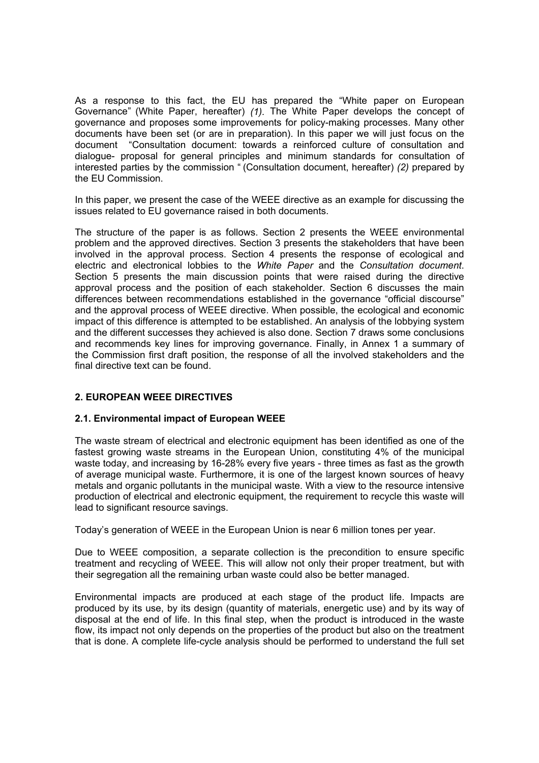As a response to this fact, the EU has prepared the "White paper on European Governance" (White Paper, hereafter) *(1).* The White Paper develops the concept of governance and proposes some improvements for policy-making processes. Many other documents have been set (or are in preparation). In this paper we will just focus on the document "Consultation document: towards a reinforced culture of consultation and dialogue- proposal for general principles and minimum standards for consultation of interested parties by the commission " (Consultation document, hereafter) *(2)* prepared by the EU Commission.

In this paper, we present the case of the WEEE directive as an example for discussing the issues related to EU governance raised in both documents.

The structure of the paper is as follows. Section 2 presents the WEEE environmental problem and the approved directives. Section 3 presents the stakeholders that have been involved in the approval process. Section 4 presents the response of ecological and electric and electronical lobbies to the *White Paper* and the *Consultation document*. Section 5 presents the main discussion points that were raised during the directive approval process and the position of each stakeholder. Section 6 discusses the main differences between recommendations established in the governance "official discourse" and the approval process of WEEE directive. When possible, the ecological and economic impact of this difference is attempted to be established. An analysis of the lobbying system and the different successes they achieved is also done. Section 7 draws some conclusions and recommends key lines for improving governance. Finally, in Annex 1 a summary of the Commission first draft position, the response of all the involved stakeholders and the final directive text can be found.

## **2. EUROPEAN WEEE DIRECTIVES**

#### **2.1. Environmental impact of European WEEE**

The waste stream of electrical and electronic equipment has been identified as one of the fastest growing waste streams in the European Union, constituting 4% of the municipal waste today, and increasing by 16-28% every five years - three times as fast as the growth of average municipal waste. Furthermore, it is one of the largest known sources of heavy metals and organic pollutants in the municipal waste. With a view to the resource intensive production of electrical and electronic equipment, the requirement to recycle this waste will lead to significant resource savings.

Today's generation of WEEE in the European Union is near 6 million tones per year.

Due to WEEE composition, a separate collection is the precondition to ensure specific treatment and recycling of WEEE. This will allow not only their proper treatment, but with their segregation all the remaining urban waste could also be better managed.

Environmental impacts are produced at each stage of the product life. Impacts are produced by its use, by its design (quantity of materials, energetic use) and by its way of disposal at the end of life. In this final step, when the product is introduced in the waste flow, its impact not only depends on the properties of the product but also on the treatment that is done. A complete life-cycle analysis should be performed to understand the full set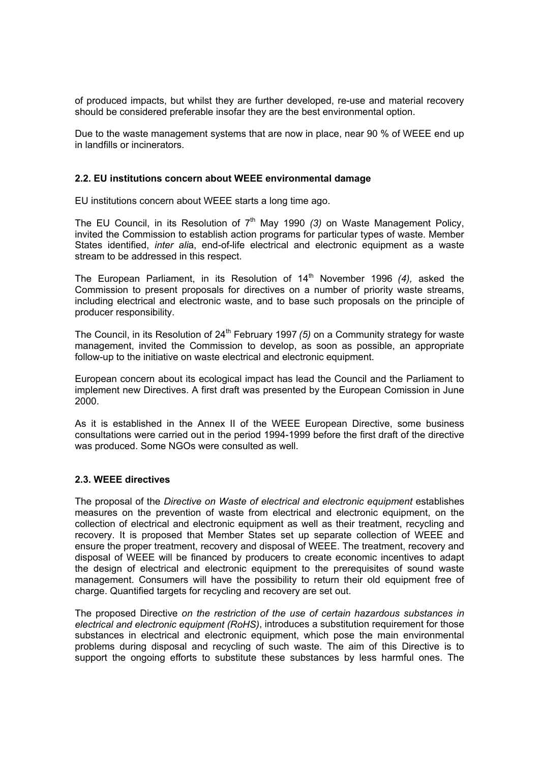of produced impacts, but whilst they are further developed, re-use and material recovery should be considered preferable insofar they are the best environmental option.

Due to the waste management systems that are now in place, near 90 % of WEEE end up in landfills or incinerators.

#### **2.2. EU institutions concern about WEEE environmental damage**

EU institutions concern about WEEE starts a long time ago.

The EU Council, in its Resolution of 7<sup>th</sup> May 1990 (3) on Waste Management Policy, invited the Commission to establish action programs for particular types of waste. Member States identified, *inter ali*a, end-of-life electrical and electronic equipment as a waste stream to be addressed in this respect.

The European Parliament, in its Resolution of 14<sup>th</sup> November 1996 (4), asked the Commission to present proposals for directives on a number of priority waste streams, including electrical and electronic waste, and to base such proposals on the principle of producer responsibility.

The Council, in its Resolution of 24<sup>th</sup> February 1997 (5) on a Community strategy for waste management, invited the Commission to develop, as soon as possible, an appropriate follow-up to the initiative on waste electrical and electronic equipment.

European concern about its ecological impact has lead the Council and the Parliament to implement new Directives. A first draft was presented by the European Comission in June 2000.

As it is established in the Annex II of the WEEE European Directive, some business consultations were carried out in the period 1994-1999 before the first draft of the directive was produced. Some NGOs were consulted as well.

#### **2.3. WEEE directives**

The proposal of the *Directive on Waste of electrical and electronic equipment* establishes measures on the prevention of waste from electrical and electronic equipment, on the collection of electrical and electronic equipment as well as their treatment, recycling and recovery. It is proposed that Member States set up separate collection of WEEE and ensure the proper treatment, recovery and disposal of WEEE. The treatment, recovery and disposal of WEEE will be financed by producers to create economic incentives to adapt the design of electrical and electronic equipment to the prerequisites of sound waste management. Consumers will have the possibility to return their old equipment free of charge. Quantified targets for recycling and recovery are set out.

The proposed Directive *on the restriction of the use of certain hazardous substances in electrical and electronic equipment (RoHS)*, introduces a substitution requirement for those substances in electrical and electronic equipment, which pose the main environmental problems during disposal and recycling of such waste. The aim of this Directive is to support the ongoing efforts to substitute these substances by less harmful ones. The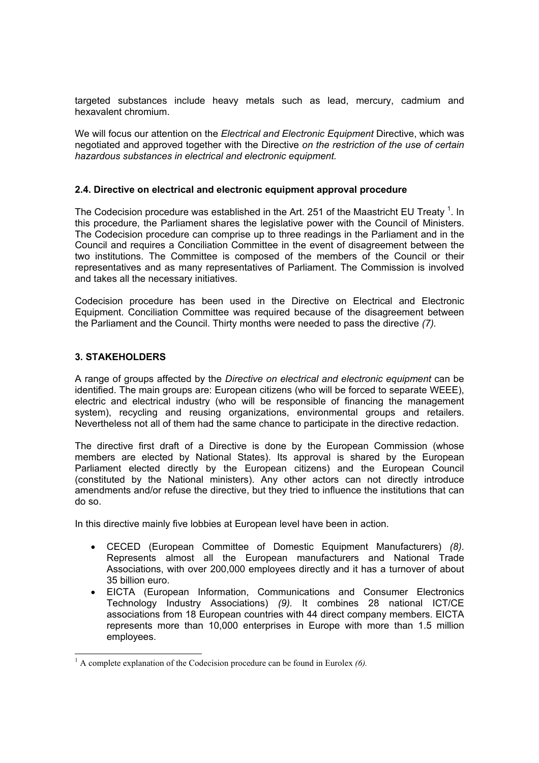targeted substances include heavy metals such as lead, mercury, cadmium and hexavalent chromium.

We will focus our attention on the *Electrical and Electronic Equipment* Directive, which was negotiated and approved together with the Directive *on the restriction of the use of certain hazardous substances in electrical and electronic equipment.*

#### **2.4. Directive on electrical and electronic equipment approval procedure**

The Codecision procedure was established in the Art. 251 of the Maastricht EU Treaty  $^1$ . In this procedure, the Parliament shares the legislative power with the Council of Ministers. The Codecision procedure can comprise up to three readings in the Parliament and in the Council and requires a Conciliation Committee in the event of disagreement between the two institutions. The Committee is composed of the members of the Council or their representatives and as many representatives of Parliament. The Commission is involved and takes all the necessary initiatives.

Codecision procedure has been used in the Directive on Electrical and Electronic Equipment. Conciliation Committee was required because of the disagreement between the Parliament and the Council. Thirty months were needed to pass the directive *(7).*

## **3. STAKEHOLDERS**

l

A range of groups affected by the *Directive on electrical and electronic equipment* can be identified. The main groups are: European citizens (who will be forced to separate WEEE), electric and electrical industry (who will be responsible of financing the management system), recycling and reusing organizations, environmental groups and retailers. Nevertheless not all of them had the same chance to participate in the directive redaction.

The directive first draft of a Directive is done by the European Commission (whose members are elected by National States). Its approval is shared by the European Parliament elected directly by the European citizens) and the European Council (constituted by the National ministers). Any other actors can not directly introduce amendments and/or refuse the directive, but they tried to influence the institutions that can do so.

In this directive mainly five lobbies at European level have been in action.

- CECED (European Committee of Domestic Equipment Manufacturers) *(8)*. Represents almost all the European manufacturers and National Trade Associations, with over 200,000 employees directly and it has a turnover of about 35 billion euro.
- EICTA (European Information, Communications and Consumer Electronics Technology Industry Associations) *(9).* It combines 28 national ICT/CE associations from 18 European countries with 44 direct company members. EICTA represents more than 10,000 enterprises in Europe with more than 1.5 million employees.

<sup>&</sup>lt;sup>1</sup> A complete explanation of the Codecision procedure can be found in Eurolex (6).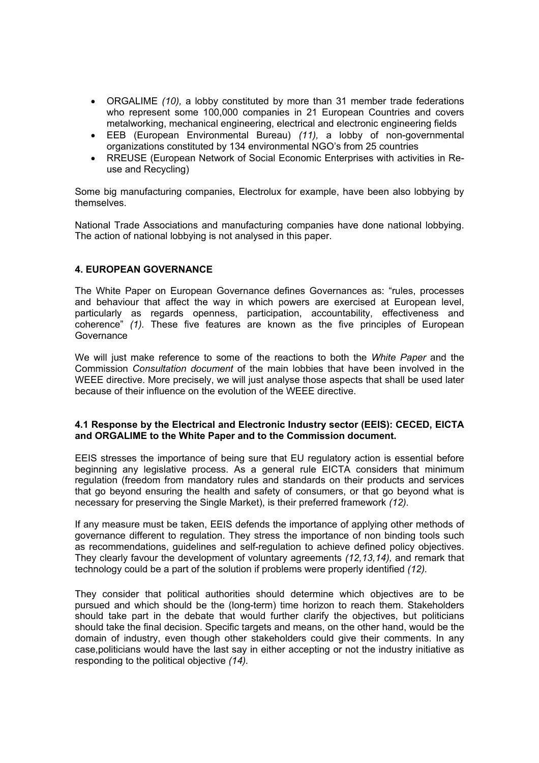- ORGALIME *(10),* a lobby constituted by more than 31 member trade federations who represent some 100,000 companies in 21 European Countries and covers metalworking, mechanical engineering, electrical and electronic engineering fields
- EEB (European Environmental Bureau) *(11),* a lobby of non-governmental organizations constituted by 134 environmental NGO's from 25 countries
- RREUSE (European Network of Social Economic Enterprises with activities in Reuse and Recycling)

Some big manufacturing companies, Electrolux for example, have been also lobbying by themselves.

National Trade Associations and manufacturing companies have done national lobbying. The action of national lobbying is not analysed in this paper.

## **4. EUROPEAN GOVERNANCE**

The White Paper on European Governance defines Governances as: "rules, processes and behaviour that affect the way in which powers are exercised at European level, particularly as regards openness, participation, accountability, effectiveness and coherence" *(1).* These five features are known as the five principles of European Governance

We will just make reference to some of the reactions to both the *White Paper* and the Commission *Consultation document* of the main lobbies that have been involved in the WEEE directive. More precisely, we will just analyse those aspects that shall be used later because of their influence on the evolution of the WEEE directive.

#### **4.1 Response by the Electrical and Electronic Industry sector (EEIS): CECED, EICTA and ORGALIME to the White Paper and to the Commission document.**

EEIS stresses the importance of being sure that EU regulatory action is essential before beginning any legislative process. As a general rule EICTA considers that minimum regulation (freedom from mandatory rules and standards on their products and services that go beyond ensuring the health and safety of consumers, or that go beyond what is necessary for preserving the Single Market), is their preferred framework *(12).*

If any measure must be taken, EEIS defends the importance of applying other methods of governance different to regulation. They stress the importance of non binding tools such as recommendations, guidelines and self-regulation to achieve defined policy objectives. They clearly favour the development of voluntary agreements *(12,13,14),* and remark that technology could be a part of the solution if problems were properly identified *(12).*

They consider that political authorities should determine which objectives are to be pursued and which should be the (long-term) time horizon to reach them. Stakeholders should take part in the debate that would further clarify the objectives, but politicians should take the final decision. Specific targets and means, on the other hand, would be the domain of industry, even though other stakeholders could give their comments. In any case,politicians would have the last say in either accepting or not the industry initiative as responding to the political objective *(14).*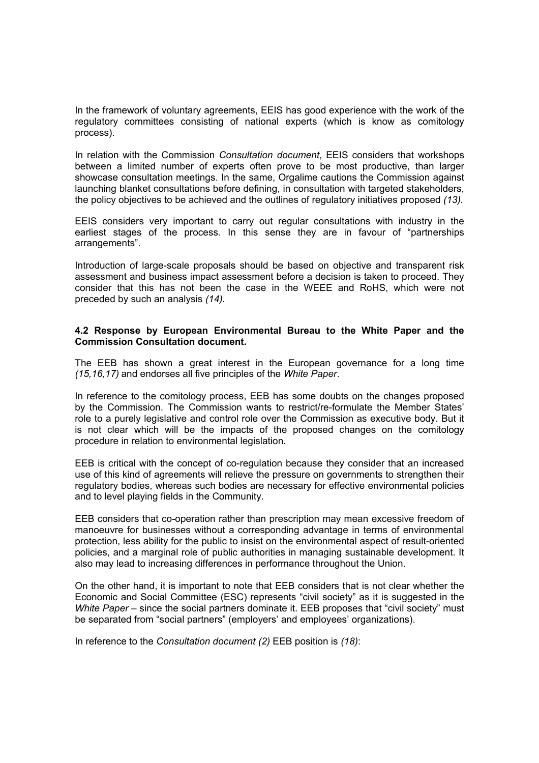In the framework of voluntary agreements, EEIS has good experience with the work of the regulatory committees consisting of national experts (which is know as comitology process).

In relation with the Commission *Consultation document*, EEIS considers that workshops between a limited number of experts often prove to be most productive, than larger showcase consultation meetings. In the same, Orgalime cautions the Commission against launching blanket consultations before defining, in consultation with targeted stakeholders, the policy objectives to be achieved and the outlines of regulatory initiatives proposed *(13).*

EEIS considers very important to carry out regular consultations with industry in the earliest stages of the process. In this sense they are in favour of "partnerships arrangements".

Introduction of large-scale proposals should be based on objective and transparent risk assessment and business impact assessment before a decision is taken to proceed. They consider that this has not been the case in the WEEE and RoHS, which were not preceded by such an analysis *(14).*

## **4.2 Response by European Environmental Bureau to the White Paper and the Commission Consultation document.**

The EEB has shown a great interest in the European governance for a long time *(15,16,17)* and endorses all five principles of the *White Paper*.

In reference to the comitology process, EEB has some doubts on the changes proposed by the Commission. The Commission wants to restrict/re-formulate the Member States' role to a purely legislative and control role over the Commission as executive body. But it is not clear which will be the impacts of the proposed changes on the comitology procedure in relation to environmental legislation.

EEB is critical with the concept of co-regulation because they consider that an increased use of this kind of agreements will relieve the pressure on governments to strengthen their regulatory bodies, whereas such bodies are necessary for effective environmental policies and to level playing fields in the Community.

EEB considers that co-operation rather than prescription may mean excessive freedom of manoeuvre for businesses without a corresponding advantage in terms of environmental protection, less ability for the public to insist on the environmental aspect of result-oriented policies, and a marginal role of public authorities in managing sustainable development. It also may lead to increasing differences in performance throughout the Union.

On the other hand, it is important to note that EEB considers that is not clear whether the Economic and Social Committee (ESC) represents "civil society" as it is suggested in the *White Paper* – since the social partners dominate it. EEB proposes that "civil society" must be separated from "social partners" (employers' and employees' organizations).

In reference to the *Consultation document (2)* EEB position is *(18)*: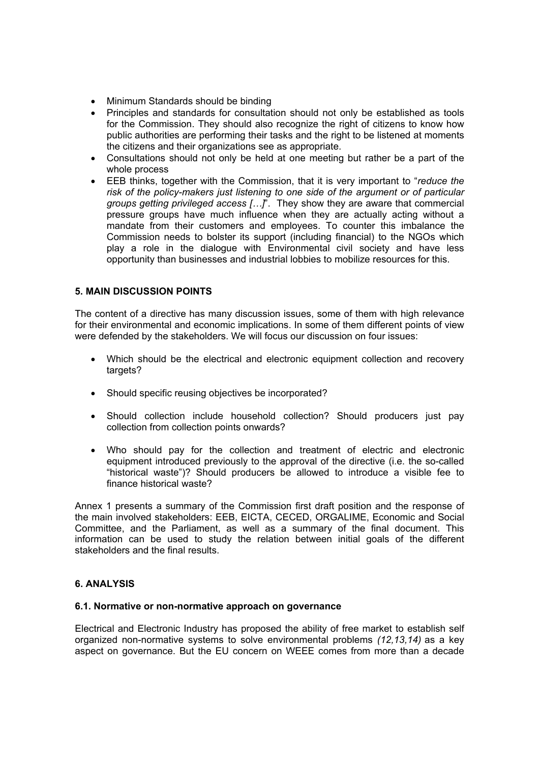- Minimum Standards should be binding
- Principles and standards for consultation should not only be established as tools for the Commission. They should also recognize the right of citizens to know how public authorities are performing their tasks and the right to be listened at moments the citizens and their organizations see as appropriate.
- Consultations should not only be held at one meeting but rather be a part of the whole process
- EEB thinks, together with the Commission, that it is very important to "*reduce the risk of the policy-makers just listening to one side of the argument or of particular groups getting privileged access […]*". They show they are aware that commercial pressure groups have much influence when they are actually acting without a mandate from their customers and employees. To counter this imbalance the Commission needs to bolster its support (including financial) to the NGOs which play a role in the dialogue with Environmental civil society and have less opportunity than businesses and industrial lobbies to mobilize resources for this.

## **5. MAIN DISCUSSION POINTS**

The content of a directive has many discussion issues, some of them with high relevance for their environmental and economic implications. In some of them different points of view were defended by the stakeholders. We will focus our discussion on four issues:

- Which should be the electrical and electronic equipment collection and recovery targets?
- Should specific reusing objectives be incorporated?
- Should collection include household collection? Should producers just pay collection from collection points onwards?
- Who should pay for the collection and treatment of electric and electronic equipment introduced previously to the approval of the directive (i.e. the so-called "historical waste")? Should producers be allowed to introduce a visible fee to finance historical waste?

Annex 1 presents a summary of the Commission first draft position and the response of the main involved stakeholders: EEB, EICTA, CECED, ORGALIME, Economic and Social Committee, and the Parliament, as well as a summary of the final document. This information can be used to study the relation between initial goals of the different stakeholders and the final results.

#### **6. ANALYSIS**

#### **6.1. Normative or non-normative approach on governance**

Electrical and Electronic Industry has proposed the ability of free market to establish self organized non-normative systems to solve environmental problems *(12,13,14)* as a key aspect on governance. But the EU concern on WEEE comes from more than a decade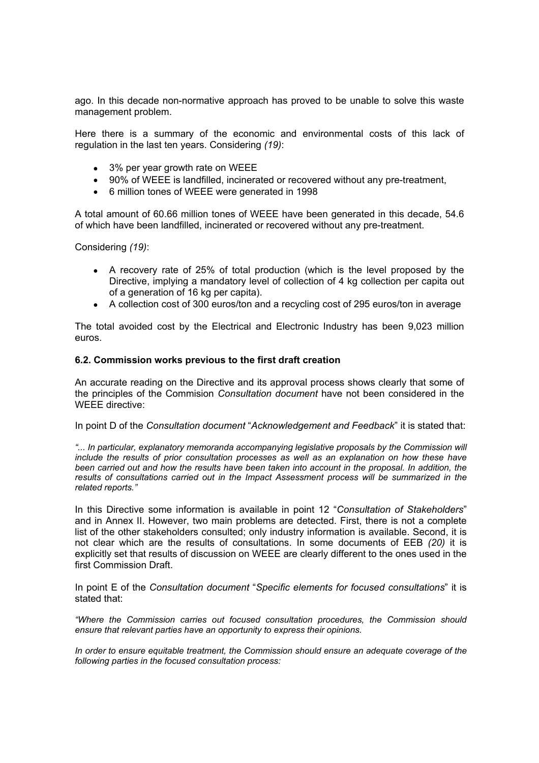ago. In this decade non-normative approach has proved to be unable to solve this waste management problem.

Here there is a summary of the economic and environmental costs of this lack of regulation in the last ten years. Considering *(19)*:

- 3% per year growth rate on WEEE
- 90% of WEEE is landfilled, incinerated or recovered without any pre-treatment,
- 6 million tones of WEEE were generated in 1998

A total amount of 60.66 million tones of WEEE have been generated in this decade, 54.6 of which have been landfilled, incinerated or recovered without any pre-treatment.

Considering *(19)*:

- A recovery rate of 25% of total production (which is the level proposed by the Directive, implying a mandatory level of collection of 4 kg collection per capita out of a generation of 16 kg per capita).
- A collection cost of 300 euros/ton and a recycling cost of 295 euros/ton in average

The total avoided cost by the Electrical and Electronic Industry has been 9,023 million euros.

#### **6.2. Commission works previous to the first draft creation**

An accurate reading on the Directive and its approval process shows clearly that some of the principles of the Commision *Consultation document* have not been considered in the WEEE directive:

In point D of the *Consultation document* "*Acknowledgement and Feedback*" it is stated that:

*"... In particular, explanatory memoranda accompanying legislative proposals by the Commission will include the results of prior consultation processes as well as an explanation on how these have been carried out and how the results have been taken into account in the proposal. In addition, the results of consultations carried out in the Impact Assessment process will be summarized in the related reports."* 

In this Directive some information is available in point 12 "*Consultation of Stakeholders*" and in Annex II. However, two main problems are detected. First, there is not a complete list of the other stakeholders consulted; only industry information is available. Second, it is not clear which are the results of consultations. In some documents of EEB *(20)* it is explicitly set that results of discussion on WEEE are clearly different to the ones used in the first Commission Draft.

In point E of the *Consultation document* "*Specific elements for focused consultations*" it is stated that:

*"Where the Commission carries out focused consultation procedures, the Commission should ensure that relevant parties have an opportunity to express their opinions.* 

*In order to ensure equitable treatment, the Commission should ensure an adequate coverage of the following parties in the focused consultation process:*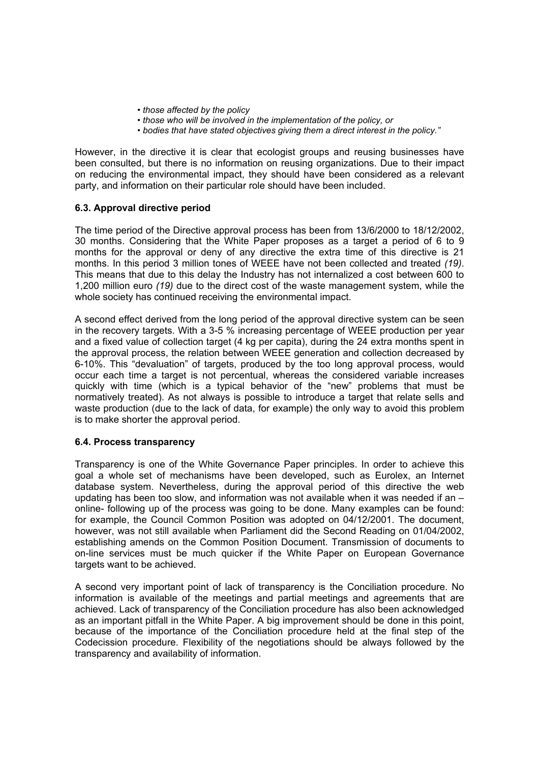- *those affected by the policy*
- *those who will be involved in the implementation of the policy, or*
- *bodies that have stated objectives giving them a direct interest in the policy."*

However, in the directive it is clear that ecologist groups and reusing businesses have been consulted, but there is no information on reusing organizations. Due to their impact on reducing the environmental impact, they should have been considered as a relevant party, and information on their particular role should have been included.

#### **6.3. Approval directive period**

The time period of the Directive approval process has been from 13/6/2000 to 18/12/2002, 30 months. Considering that the White Paper proposes as a target a period of 6 to 9 months for the approval or deny of any directive the extra time of this directive is 21 months. In this period 3 million tones of WEEE have not been collected and treated *(19)*. This means that due to this delay the Industry has not internalized a cost between 600 to 1,200 million euro *(19)* due to the direct cost of the waste management system, while the whole society has continued receiving the environmental impact.

A second effect derived from the long period of the approval directive system can be seen in the recovery targets. With a 3-5 % increasing percentage of WEEE production per year and a fixed value of collection target (4 kg per capita), during the 24 extra months spent in the approval process, the relation between WEEE generation and collection decreased by 6-10%. This "devaluation" of targets, produced by the too long approval process, would occur each time a target is not percentual, whereas the considered variable increases quickly with time (which is a typical behavior of the "new" problems that must be normatively treated). As not always is possible to introduce a target that relate sells and waste production (due to the lack of data, for example) the only way to avoid this problem is to make shorter the approval period.

#### **6.4. Process transparency**

Transparency is one of the White Governance Paper principles. In order to achieve this goal a whole set of mechanisms have been developed, such as Eurolex, an Internet database system. Nevertheless, during the approval period of this directive the web updating has been too slow, and information was not available when it was needed if an – online- following up of the process was going to be done. Many examples can be found: for example, the Council Common Position was adopted on 04/12/2001. The document, however, was not still available when Parliament did the Second Reading on 01/04/2002, establishing amends on the Common Position Document. Transmission of documents to on-line services must be much quicker if the White Paper on European Governance targets want to be achieved.

A second very important point of lack of transparency is the Conciliation procedure. No information is available of the meetings and partial meetings and agreements that are achieved. Lack of transparency of the Conciliation procedure has also been acknowledged as an important pitfall in the White Paper. A big improvement should be done in this point, because of the importance of the Conciliation procedure held at the final step of the Codecission procedure. Flexibility of the negotiations should be always followed by the transparency and availability of information.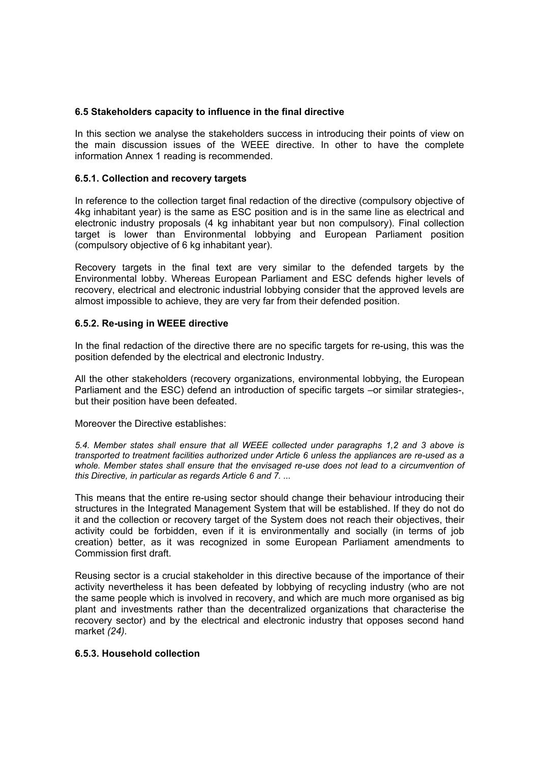#### **6.5 Stakeholders capacity to influence in the final directive**

In this section we analyse the stakeholders success in introducing their points of view on the main discussion issues of the WEEE directive. In other to have the complete information Annex 1 reading is recommended.

## **6.5.1. Collection and recovery targets**

In reference to the collection target final redaction of the directive (compulsory objective of 4kg inhabitant year) is the same as ESC position and is in the same line as electrical and electronic industry proposals (4 kg inhabitant year but non compulsory). Final collection target is lower than Environmental lobbying and European Parliament position (compulsory objective of 6 kg inhabitant year).

Recovery targets in the final text are very similar to the defended targets by the Environmental lobby. Whereas European Parliament and ESC defends higher levels of recovery, electrical and electronic industrial lobbying consider that the approved levels are almost impossible to achieve, they are very far from their defended position.

## **6.5.2. Re-using in WEEE directive**

In the final redaction of the directive there are no specific targets for re-using, this was the position defended by the electrical and electronic Industry.

All the other stakeholders (recovery organizations, environmental lobbying, the European Parliament and the ESC) defend an introduction of specific targets –or similar strategies-, but their position have been defeated.

Moreover the Directive establishes:

*5.4. Member states shall ensure that all WEEE collected under paragraphs 1,2 and 3 above is transported to treatment facilities authorized under Article 6 unless the appliances are re-used as a*  whole. Member states shall ensure that the envisaged re-use does not lead to a circumvention of *this Directive, in particular as regards Article 6 and 7. ...* 

This means that the entire re-using sector should change their behaviour introducing their structures in the Integrated Management System that will be established. If they do not do it and the collection or recovery target of the System does not reach their objectives, their activity could be forbidden, even if it is environmentally and socially (in terms of job creation) better, as it was recognized in some European Parliament amendments to Commission first draft.

Reusing sector is a crucial stakeholder in this directive because of the importance of their activity nevertheless it has been defeated by lobbying of recycling industry (who are not the same people which is involved in recovery, and which are much more organised as big plant and investments rather than the decentralized organizations that characterise the recovery sector) and by the electrical and electronic industry that opposes second hand market *(24).*

### **6.5.3. Household collection**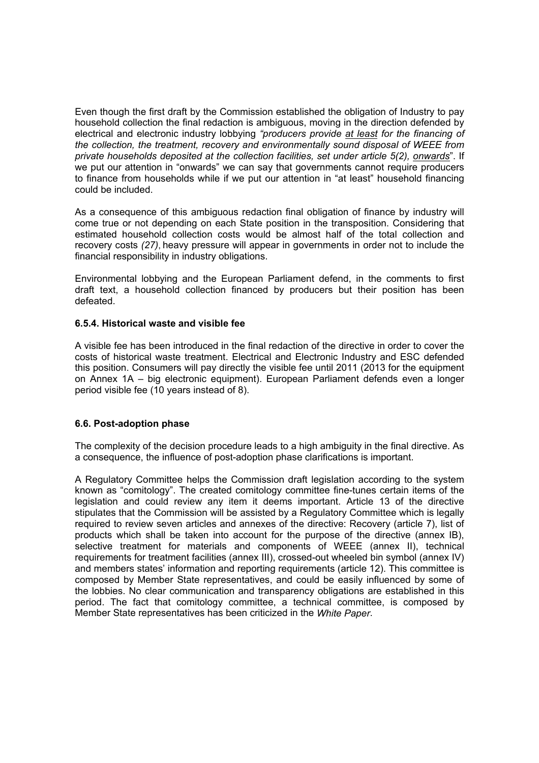Even though the first draft by the Commission established the obligation of Industry to pay household collection the final redaction is ambiguous, moving in the direction defended by electrical and electronic industry lobbying *"producers provide at least for the financing of the collection, the treatment, recovery and environmentally sound disposal of WEEE from private households deposited at the collection facilities, set under article 5(2), onwards*". If we put our attention in "onwards" we can say that governments cannot require producers to finance from households while if we put our attention in "at least" household financing could be included.

As a consequence of this ambiguous redaction final obligation of finance by industry will come true or not depending on each State position in the transposition. Considering that estimated household collection costs would be almost half of the total collection and recovery costs *(27)*, heavy pressure will appear in governments in order not to include the financial responsibility in industry obligations.

Environmental lobbying and the European Parliament defend, in the comments to first draft text, a household collection financed by producers but their position has been defeated.

## **6.5.4. Historical waste and visible fee**

A visible fee has been introduced in the final redaction of the directive in order to cover the costs of historical waste treatment. Electrical and Electronic Industry and ESC defended this position. Consumers will pay directly the visible fee until 2011 (2013 for the equipment on Annex 1A – big electronic equipment). European Parliament defends even a longer period visible fee (10 years instead of 8).

#### **6.6. Post-adoption phase**

The complexity of the decision procedure leads to a high ambiguity in the final directive. As a consequence, the influence of post-adoption phase clarifications is important.

A Regulatory Committee helps the Commission draft legislation according to the system known as "comitology". The created comitology committee fine-tunes certain items of the legislation and could review any item it deems important. Article 13 of the directive stipulates that the Commission will be assisted by a Regulatory Committee which is legally required to review seven articles and annexes of the directive: Recovery (article 7), list of products which shall be taken into account for the purpose of the directive (annex IB), selective treatment for materials and components of WEEE (annex II), technical requirements for treatment facilities (annex III), crossed-out wheeled bin symbol (annex IV) and members states' information and reporting requirements (article 12). This committee is composed by Member State representatives, and could be easily influenced by some of the lobbies. No clear communication and transparency obligations are established in this period. The fact that comitology committee, a technical committee, is composed by Member State representatives has been criticized in the *White Paper*.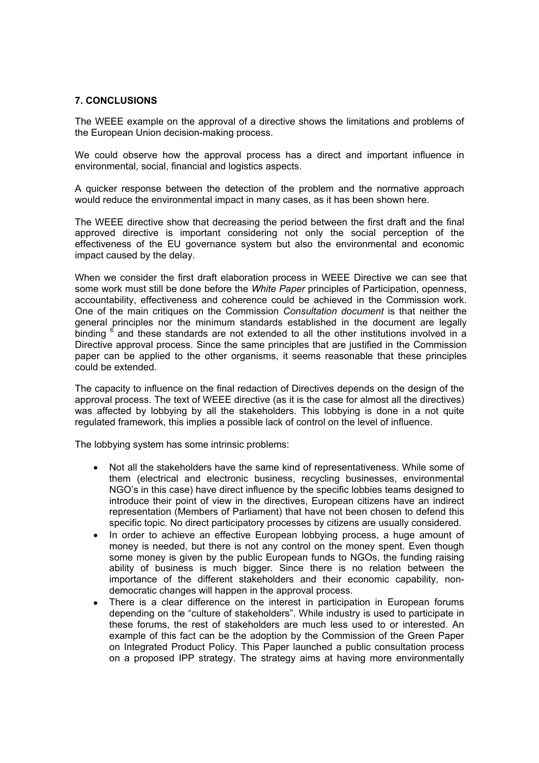## **7. CONCLUSIONS**

The WEEE example on the approval of a directive shows the limitations and problems of the European Union decision-making process.

We could observe how the approval process has a direct and important influence in environmental, social, financial and logistics aspects.

A quicker response between the detection of the problem and the normative approach would reduce the environmental impact in many cases, as it has been shown here.

The WEEE directive show that decreasing the period between the first draft and the final approved directive is important considering not only the social perception of the effectiveness of the EU governance system but also the environmental and economic impact caused by the delay.

When we consider the first draft elaboration process in WEEE Directive we can see that some work must still be done before the *White Paper* principles of Participation, openness, accountability, effectiveness and coherence could be achieved in the Commission work. One of the main critiques on the Commission *Consultation document* is that neither the general principles nor the minimum standards established in the document are legally binding  $6$  and these standards are not extended to all the other institutions involved in a Directive approval process. Since the same principles that are justified in the Commission paper can be applied to the other organisms, it seems reasonable that these principles could be extended.

The capacity to influence on the final redaction of Directives depends on the design of the approval process. The text of WEEE directive (as it is the case for almost all the directives) was affected by lobbying by all the stakeholders. This lobbying is done in a not quite regulated framework, this implies a possible lack of control on the level of influence.

The lobbying system has some intrinsic problems:

- Not all the stakeholders have the same kind of representativeness. While some of them (electrical and electronic business, recycling businesses, environmental NGO's in this case) have direct influence by the specific lobbies teams designed to introduce their point of view in the directives, European citizens have an indirect representation (Members of Parliament) that have not been chosen to defend this specific topic. No direct participatory processes by citizens are usually considered.
- In order to achieve an effective European lobbying process, a huge amount of money is needed, but there is not any control on the money spent. Even though some money is given by the public European funds to NGOs, the funding raising ability of business is much bigger. Since there is no relation between the importance of the different stakeholders and their economic capability, nondemocratic changes will happen in the approval process.
- There is a clear difference on the interest in participation in European forums depending on the "culture of stakeholders". While industry is used to participate in these forums, the rest of stakeholders are much less used to or interested. An example of this fact can be the adoption by the Commission of the Green Paper on Integrated Product Policy. This Paper launched a public consultation process on a proposed IPP strategy. The strategy aims at having more environmentally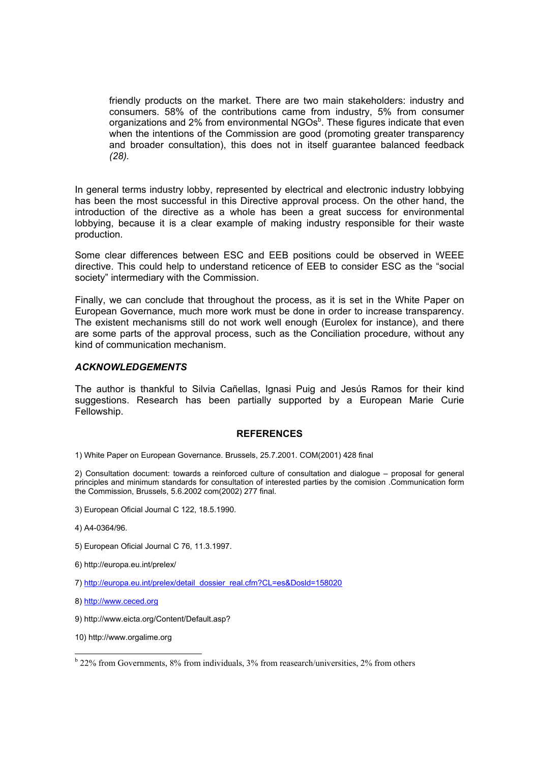friendly products on the market. There are two main stakeholders: industry and consumers. 58% of the contributions came from industry, 5% from consumer organizations and 2% from environmental NGOs $<sup>b</sup>$ . These figures indicate that even</sup> when the intentions of the Commission are good (promoting greater transparency and broader consultation), this does not in itself guarantee balanced feedback *(28).*

In general terms industry lobby, represented by electrical and electronic industry lobbying has been the most successful in this Directive approval process. On the other hand, the introduction of the directive as a whole has been a great success for environmental lobbying, because it is a clear example of making industry responsible for their waste production.

Some clear differences between ESC and EEB positions could be observed in WEEE directive. This could help to understand reticence of EEB to consider ESC as the "social society" intermediary with the Commission.

Finally, we can conclude that throughout the process, as it is set in the White Paper on European Governance, much more work must be done in order to increase transparency. The existent mechanisms still do not work well enough (Eurolex for instance), and there are some parts of the approval process, such as the Conciliation procedure, without any kind of communication mechanism.

#### *ACKNOWLEDGEMENTS*

The author is thankful to Silvia Cañellas, Ignasi Puig and Jesús Ramos for their kind suggestions. Research has been partially supported by a European Marie Curie Fellowship.

#### **REFERENCES**

1) White Paper on European Governance. Brussels, 25.7.2001. COM(2001) 428 final

2) Consultation document: towards a reinforced culture of consultation and dialogue – proposal for general principles and minimum standards for consultation of interested parties by the comision .Communication form the Commission, Brussels, 5.6.2002 com(2002) 277 final.

- 3) European Oficial Journal C 122, 18.5.1990.
- 4) A4-0364/96.
- 5) European Oficial Journal C 76, 11.3.1997.
- 6) http://europa.eu.int/prelex/
- 7) http://europa.eu.int/prelex/detail\_dossier\_real.cfm?CL=es&Dosld=158020
- 8) http://www.ceced.org
- 9) http://www.eicta.org/Content/Default.asp?
- 10) http://www.orgalime.org

l

<sup>&</sup>lt;sup>b</sup> 22% from Governments, 8% from individuals, 3% from reasearch/universities, 2% from others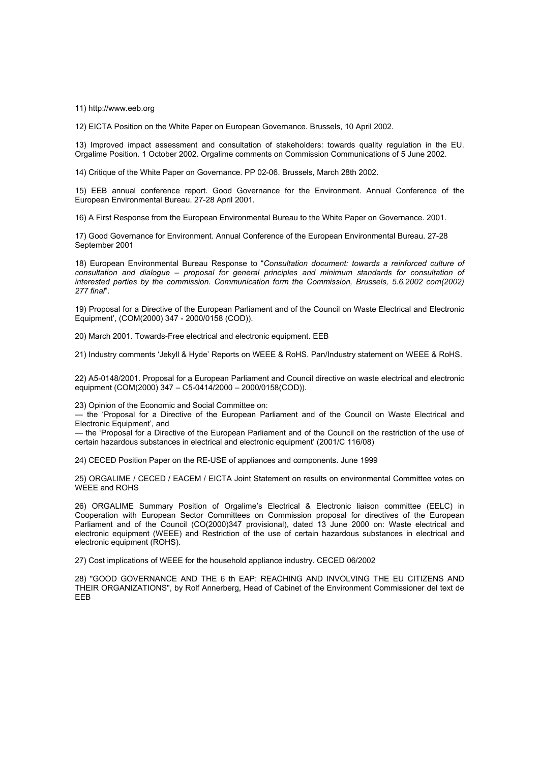11) http://www.eeb.org

12) EICTA Position on the White Paper on European Governance. Brussels, 10 April 2002.

13) Improved impact assessment and consultation of stakeholders: towards quality regulation in the EU. Orgalime Position. 1 October 2002. Orgalime comments on Commission Communications of 5 June 2002.

14) Critique of the White Paper on Governance. PP 02-06. Brussels, March 28th 2002.

15) EEB annual conference report. Good Governance for the Environment. Annual Conference of the European Environmental Bureau. 27-28 April 2001.

16) A First Response from the European Environmental Bureau to the White Paper on Governance. 2001.

17) Good Governance for Environment. Annual Conference of the European Environmental Bureau. 27-28 September 2001

18) European Environmental Bureau Response to "*Consultation document: towards a reinforced culture of consultation and dialogue – proposal for general principles and minimum standards for consultation of interested parties by the commission. Communication form the Commission, Brussels, 5.6.2002 com(2002) 277 final*".

19) Proposal for a Directive of the European Parliament and of the Council on Waste Electrical and Electronic Equipment', (COM(2000) 347 - 2000/0158 (COD)).

20) March 2001. Towards-Free electrical and electronic equipment. EEB

21) Industry comments 'Jekyll & Hyde' Reports on WEEE & RoHS. Pan/Industry statement on WEEE & RoHS.

22) A5-0148/2001. Proposal for a European Parliament and Council directive on waste electrical and electronic equipment (COM(2000) 347 – C5-0414/2000 – 2000/0158(COD)).

23) Opinion of the Economic and Social Committee on:

— the 'Proposal for a Directive of the European Parliament and of the Council on Waste Electrical and Electronic Equipment', and

— the 'Proposal for a Directive of the European Parliament and of the Council on the restriction of the use of certain hazardous substances in electrical and electronic equipment' (2001/C 116/08)

24) CECED Position Paper on the RE-USE of appliances and components. June 1999

25) ORGALIME / CECED / EACEM / EICTA Joint Statement on results on environmental Committee votes on WEEE and ROHS

26) ORGALIME Summary Position of Orgalime's Electrical & Electronic liaison committee (EELC) in Cooperation with European Sector Committees on Commission proposal for directives of the European Parliament and of the Council (CO(2000)347 provisional), dated 13 June 2000 on: Waste electrical and electronic equipment (WEEE) and Restriction of the use of certain hazardous substances in electrical and electronic equipment (ROHS).

27) Cost implications of WEEE for the household appliance industry. CECED 06/2002

28) "GOOD GOVERNANCE AND THE 6 th EAP: REACHING AND INVOLVING THE EU CITIZENS AND THEIR ORGANIZATIONS", by Rolf Annerberg, Head of Cabinet of the Environment Commissioner del text de EEB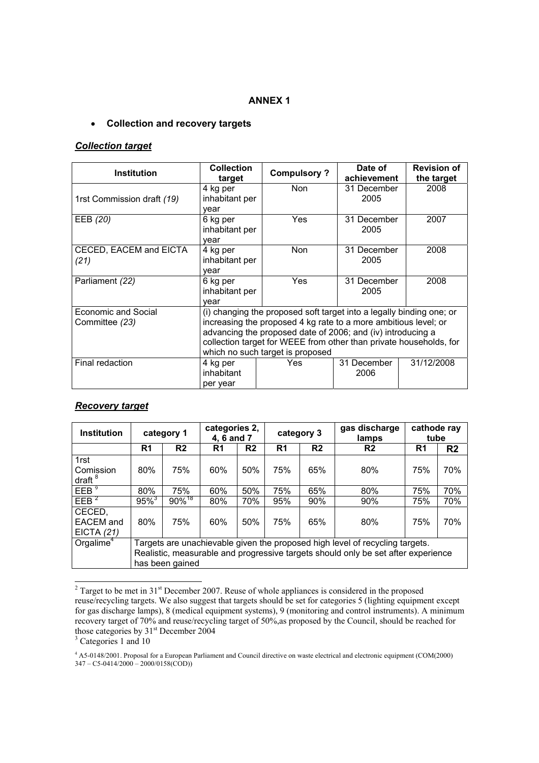## **ANNEX 1**

## • **Collection and recovery targets**

#### *Collection target*

| <b>Institution</b>                    | <b>Collection</b><br>target                                                                                                                                                                                                                                                                                      | <b>Compulsory?</b> | Date of<br>achievement | <b>Revision of</b><br>the target |
|---------------------------------------|------------------------------------------------------------------------------------------------------------------------------------------------------------------------------------------------------------------------------------------------------------------------------------------------------------------|--------------------|------------------------|----------------------------------|
| 1rst Commission draft (19)            | 4 kg per<br>inhabitant per<br>vear                                                                                                                                                                                                                                                                               | Non                | 31 December<br>2005    | 2008                             |
| EEB (20)                              | 6 kg per<br>inhabitant per<br>year                                                                                                                                                                                                                                                                               | <b>Yes</b>         | 31 December<br>2005    | 2007                             |
| CECED, EACEM and EICTA<br>(21)        | 4 kg per<br>inhabitant per<br>vear                                                                                                                                                                                                                                                                               | <b>Non</b>         |                        | 2008                             |
| Parliament (22)                       | 6 kg per<br>inhabitant per<br>vear                                                                                                                                                                                                                                                                               | <b>Yes</b>         | 31 December<br>2005    | 2008                             |
| Economic and Social<br>Committee (23) | (i) changing the proposed soft target into a legally binding one; or<br>increasing the proposed 4 kg rate to a more ambitious level; or<br>advancing the proposed date of 2006; and (iv) introducing a<br>collection target for WEEE from other than private households, for<br>which no such target is proposed |                    |                        |                                  |
| Final redaction                       | 4 kg per<br>inhabitant<br>per year                                                                                                                                                                                                                                                                               | <b>Yes</b>         | 31 December<br>2006    | 31/12/2008                       |

## *Recovery target*

| <b>Institution</b>                      | category 1                                                                                                                                                                           |                      | categories 2,<br>4, 6 and 7 |                | category 3     |                | gas discharge<br>lamps | cathode ray<br>tube |                |
|-----------------------------------------|--------------------------------------------------------------------------------------------------------------------------------------------------------------------------------------|----------------------|-----------------------------|----------------|----------------|----------------|------------------------|---------------------|----------------|
|                                         | R <sub>1</sub>                                                                                                                                                                       | R <sub>2</sub>       | R <sub>1</sub>              | R <sub>2</sub> | R <sub>1</sub> | R <sub>2</sub> | R <sub>2</sub>         | R <sub>1</sub>      | R <sub>2</sub> |
| 1rst<br>Comission<br>draft $8$          | 80%                                                                                                                                                                                  | 75%                  | 60%                         | 50%            | 75%            | 65%            | 80%                    | 75%                 | 70%            |
| EEB <sup>9</sup>                        | 80%                                                                                                                                                                                  | 75%                  | 60%                         | 50%            | 75%            | 65%            | 80%                    | 75%                 | 70%            |
| EEB <sup>2</sup>                        | $95\%$ <sup>3</sup>                                                                                                                                                                  | $90\%$ <sup>18</sup> | 80%                         | 70%            | 95%            | 90%            | 90%                    | 75%                 | 70%            |
| CECED,<br><b>EACEM</b> and<br>EICTA(21) | 80%                                                                                                                                                                                  | 75%                  | 60%                         | 50%            | 75%            | 65%            | 80%                    | 75%                 | 70%            |
| Orgalime <sup>4</sup>                   | Targets are unachievable given the proposed high level of recycling targets.<br>Realistic, measurable and progressive targets should only be set after experience<br>has been gained |                      |                             |                |                |                |                        |                     |                |

<sup>&</sup>lt;sup>2</sup> Target to be met in 31<sup>st</sup> December 2007. Reuse of whole appliances is considered in the proposed reuse/recycling targets. We also suggest that targets should be set for categories 5 (lighting equipment except for gas discharge lamps), 8 (medical equipment systems), 9 (monitoring and control instruments). A minimum recovery target of 70% and reuse/recycling target of 50%,as proposed by the Council, should be reached for those categories by  $31<sup>st</sup>$  December 2004

<sup>3</sup> Categories 1 and 10

4 A5-0148/2001. Proposal for a European Parliament and Council directive on waste electrical and electronic equipment (COM(2000)  $347 - C5 - 0414/2000 - 2000/0158(COD)$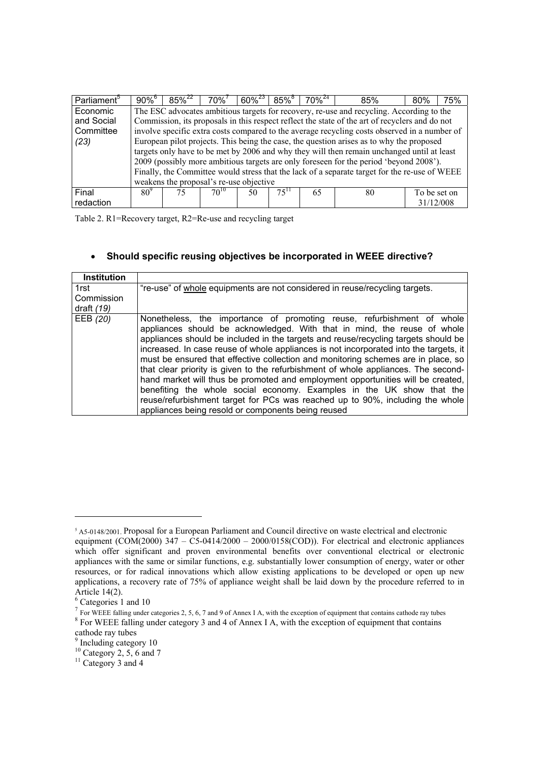| Parliament <sup>5</sup> | $90\%$ <sup>b</sup> | $85\%^{22}$ | $70\%$                                  | $60\%^{23}$ | $85\%$    | $70\%^{24}$ | 85%                                                                                            | 80%          | 75% |
|-------------------------|---------------------|-------------|-----------------------------------------|-------------|-----------|-------------|------------------------------------------------------------------------------------------------|--------------|-----|
| Economic                |                     |             |                                         |             |           |             | The ESC advocates ambitious targets for recovery, re-use and recycling. According to the       |              |     |
| and Social              |                     |             |                                         |             |           |             | Commission, its proposals in this respect reflect the state of the art of recyclers and do not |              |     |
| Committee               |                     |             |                                         |             |           |             | involve specific extra costs compared to the average recycling costs observed in a number of   |              |     |
| (23)                    |                     |             |                                         |             |           |             | European pilot projects. This being the case, the question arises as to why the proposed       |              |     |
|                         |                     |             |                                         |             |           |             | targets only have to be met by 2006 and why they will then remain unchanged until at least     |              |     |
|                         |                     |             |                                         |             |           |             | 2009 (possibly more ambitious targets are only foreseen for the period 'beyond 2008').         |              |     |
|                         |                     |             |                                         |             |           |             | Finally, the Committee would stress that the lack of a separate target for the re-use of WEEE  |              |     |
|                         |                     |             | weakens the proposal's re-use objective |             |           |             |                                                                                                |              |     |
| Final                   | $80^\circ$          | 75          | $70^{10}$                               | 50          | $75^{11}$ | 65          | 80                                                                                             | To be set on |     |
| redaction               |                     |             |                                         |             |           |             |                                                                                                | 31/12/008    |     |

Table 2. R1=Recovery target, R2=Re-use and recycling target

# • **Should specific reusing objectives be incorporated in WEEE directive?**

| <b>Institution</b> |                                                                                                                                                                                                                                                                                                                                                                                                                                                                                                                                                                                                                                                                                                                                                                                                                 |
|--------------------|-----------------------------------------------------------------------------------------------------------------------------------------------------------------------------------------------------------------------------------------------------------------------------------------------------------------------------------------------------------------------------------------------------------------------------------------------------------------------------------------------------------------------------------------------------------------------------------------------------------------------------------------------------------------------------------------------------------------------------------------------------------------------------------------------------------------|
| 1rst               | "re-use" of whole equipments are not considered in reuse/recycling targets.                                                                                                                                                                                                                                                                                                                                                                                                                                                                                                                                                                                                                                                                                                                                     |
| Commission         |                                                                                                                                                                                                                                                                                                                                                                                                                                                                                                                                                                                                                                                                                                                                                                                                                 |
| draft $(19)$       |                                                                                                                                                                                                                                                                                                                                                                                                                                                                                                                                                                                                                                                                                                                                                                                                                 |
| EEB (20)           | Nonetheless, the importance of promoting reuse, refurbishment of whole<br>appliances should be acknowledged. With that in mind, the reuse of whole<br>appliances should be included in the targets and reuse/recycling targets should be<br>increased. In case reuse of whole appliances is not incorporated into the targets, it<br>must be ensured that effective collection and monitoring schemes are in place, so<br>that clear priority is given to the refurbishment of whole appliances. The second-<br>hand market will thus be promoted and employment opportunities will be created,<br>benefiting the whole social economy. Examples in the UK show that the<br>reuse/refurbishment target for PCs was reached up to 90%, including the whole<br>appliances being resold or components being reused |

l

<sup>5</sup> A5-0148/2001. Proposal for a European Parliament and Council directive on waste electrical and electronic equipment (COM(2000) 347 –  $\dot{C}$ 5-0414/2000 – 2000/0158(COD)). For electrical and electronic appliances which offer significant and proven environmental benefits over conventional electrical or electronic appliances with the same or similar functions, e.g. substantially lower consumption of energy, water or other resources, or for radical innovations which allow existing applications to be developed or open up new applications, a recovery rate of 75% of appliance weight shall be laid down by the procedure referred to in Article 14(2).

<sup>6</sup> Categories 1 and 10

 $\frac{7}{1}$  For WEEE falling under categories 2, 5, 6, 7 and 9 of Annex I A, with the exception of equipment that contains cathode ray tubes  $8$  For WEEE falling under category 3 and 4 of Annex I A, with the exception of equipment that contains

cathode ray tubes

<sup>&</sup>lt;sup>9</sup> Including category 10

 $10$  Category 2, 5, 6 and 7

 $11$  Category 3 and 4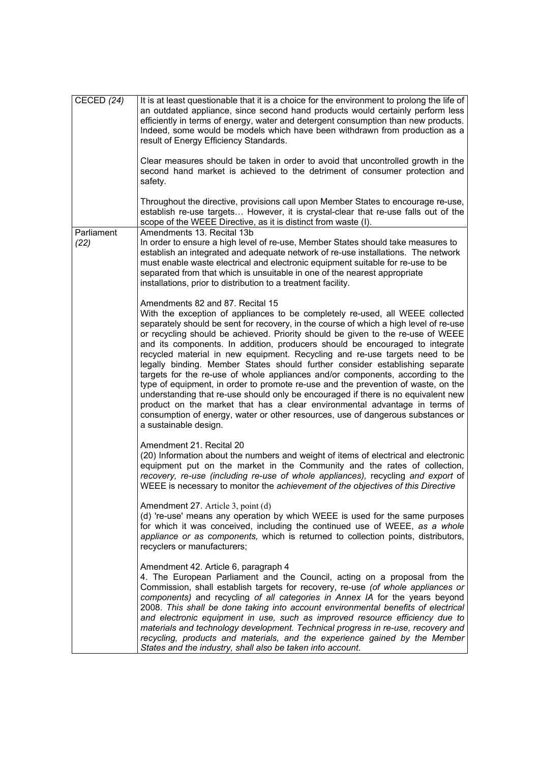| CECED $(24)$       | It is at least questionable that it is a choice for the environment to prolong the life of<br>an outdated appliance, since second hand products would certainly perform less<br>efficiently in terms of energy, water and detergent consumption than new products.<br>Indeed, some would be models which have been withdrawn from production as a<br>result of Energy Efficiency Standards.<br>Clear measures should be taken in order to avoid that uncontrolled growth in the<br>second hand market is achieved to the detriment of consumer protection and<br>safety.                                                                                                                                                                                                                                                                                                                                                                                                                           |
|--------------------|----------------------------------------------------------------------------------------------------------------------------------------------------------------------------------------------------------------------------------------------------------------------------------------------------------------------------------------------------------------------------------------------------------------------------------------------------------------------------------------------------------------------------------------------------------------------------------------------------------------------------------------------------------------------------------------------------------------------------------------------------------------------------------------------------------------------------------------------------------------------------------------------------------------------------------------------------------------------------------------------------|
|                    | Throughout the directive, provisions call upon Member States to encourage re-use,<br>establish re-use targets However, it is crystal-clear that re-use falls out of the<br>scope of the WEEE Directive, as it is distinct from waste (I).                                                                                                                                                                                                                                                                                                                                                                                                                                                                                                                                                                                                                                                                                                                                                          |
| Parliament<br>(22) | Amendments 13. Recital 13b<br>In order to ensure a high level of re-use, Member States should take measures to<br>establish an integrated and adequate network of re-use installations. The network<br>must enable waste electrical and electronic equipment suitable for re-use to be<br>separated from that which is unsuitable in one of the nearest appropriate<br>installations, prior to distribution to a treatment facility.                                                                                                                                                                                                                                                                                                                                                                                                                                                                                                                                                               |
|                    | Amendments 82 and 87. Recital 15<br>With the exception of appliances to be completely re-used, all WEEE collected<br>separately should be sent for recovery, in the course of which a high level of re-use<br>or recycling should be achieved. Priority should be given to the re-use of WEEE<br>and its components. In addition, producers should be encouraged to integrate<br>recycled material in new equipment. Recycling and re-use targets need to be<br>legally binding. Member States should further consider establishing separate<br>targets for the re-use of whole appliances and/or components, according to the<br>type of equipment, in order to promote re-use and the prevention of waste, on the<br>understanding that re-use should only be encouraged if there is no equivalent new<br>product on the market that has a clear environmental advantage in terms of<br>consumption of energy, water or other resources, use of dangerous substances or<br>a sustainable design. |
|                    | Amendment 21. Recital 20<br>(20) Information about the numbers and weight of items of electrical and electronic<br>equipment put on the market in the Community and the rates of collection,<br>recovery, re-use (including re-use of whole appliances), recycling and export of<br>WEEE is necessary to monitor the achievement of the objectives of this Directive                                                                                                                                                                                                                                                                                                                                                                                                                                                                                                                                                                                                                               |
|                    | Amendment 27. Article 3, point (d)<br>(d) 're-use' means any operation by which WEEE is used for the same purposes<br>for which it was conceived, including the continued use of WEEE, as a whole<br>appliance or as components, which is returned to collection points, distributors,<br>recyclers or manufacturers;                                                                                                                                                                                                                                                                                                                                                                                                                                                                                                                                                                                                                                                                              |
|                    | Amendment 42. Article 6, paragraph 4<br>4. The European Parliament and the Council, acting on a proposal from the<br>Commission, shall establish targets for recovery, re-use (of whole appliances or<br>components) and recycling of all categories in Annex IA for the years beyond<br>2008. This shall be done taking into account environmental benefits of electrical<br>and electronic equipment in use, such as improved resource efficiency due to<br>materials and technology development. Technical progress in re-use, recovery and<br>recycling, products and materials, and the experience gained by the Member<br>States and the industry, shall also be taken into account.                                                                                                                                                                                                                                                                                                         |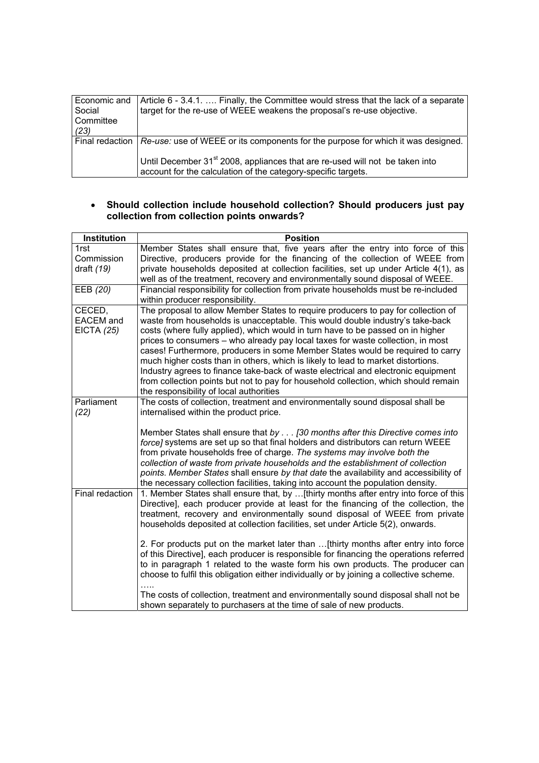| Economic and<br>Social<br>Committee<br>(23) | Article 6 - 3.4.1.  Finally, the Committee would stress that the lack of a separate<br>target for the re-use of WEEE weakens the proposal's re-use objective.                                  |
|---------------------------------------------|------------------------------------------------------------------------------------------------------------------------------------------------------------------------------------------------|
|                                             | Final redaction   Re-use: use of WEEE or its components for the purpose for which it was designed.<br>Until December 31 <sup>st</sup> 2008, appliances that are re-used will not be taken into |
|                                             | account for the calculation of the category-specific targets.                                                                                                                                  |

## • **Should collection include household collection? Should producers just pay collection from collection points onwards?**

| Institution       | <b>Position</b>                                                                                                                                                           |
|-------------------|---------------------------------------------------------------------------------------------------------------------------------------------------------------------------|
| 1rst              | Member States shall ensure that, five years after the entry into force of this                                                                                            |
| Commission        | Directive, producers provide for the financing of the collection of WEEE from                                                                                             |
| draft $(19)$      | private households deposited at collection facilities, set up under Article 4(1), as<br>well as of the treatment, recovery and environmentally sound disposal of WEEE.    |
| EEB (20)          | Financial responsibility for collection from private households must be re-included                                                                                       |
|                   | within producer responsibility.                                                                                                                                           |
| CECED,            | The proposal to allow Member States to require producers to pay for collection of                                                                                         |
| <b>EACEM</b> and  | waste from households is unacceptable. This would double industry's take-back                                                                                             |
| <b>EICTA (25)</b> | costs (where fully applied), which would in turn have to be passed on in higher                                                                                           |
|                   | prices to consumers - who already pay local taxes for waste collection, in most<br>cases! Furthermore, producers in some Member States would be required to carry         |
|                   | much higher costs than in others, which is likely to lead to market distortions.                                                                                          |
|                   | Industry agrees to finance take-back of waste electrical and electronic equipment                                                                                         |
|                   | from collection points but not to pay for household collection, which should remain                                                                                       |
|                   | the responsibility of local authorities                                                                                                                                   |
| Parliament        | The costs of collection, treatment and environmentally sound disposal shall be                                                                                            |
| (22)              | internalised within the product price.                                                                                                                                    |
|                   | Member States shall ensure that by [30 months after this Directive comes into                                                                                             |
|                   | force] systems are set up so that final holders and distributors can return WEEE                                                                                          |
|                   | from private households free of charge. The systems may involve both the                                                                                                  |
|                   | collection of waste from private households and the establishment of collection                                                                                           |
|                   | points. Member States shall ensure by that date the availability and accessibility of<br>the necessary collection facilities, taking into account the population density. |
| Final redaction   | 1. Member States shall ensure that, by  [thirty months after entry into force of this                                                                                     |
|                   | Directive], each producer provide at least for the financing of the collection, the                                                                                       |
|                   | treatment, recovery and environmentally sound disposal of WEEE from private                                                                                               |
|                   | households deposited at collection facilities, set under Article 5(2), onwards.                                                                                           |
|                   | 2. For products put on the market later than  [thirty months after entry into force                                                                                       |
|                   | of this Directive], each producer is responsible for financing the operations referred                                                                                    |
|                   | to in paragraph 1 related to the waste form his own products. The producer can                                                                                            |
|                   | choose to fulfil this obligation either individually or by joining a collective scheme.                                                                                   |
|                   | The costs of collection, treatment and environmentally sound disposal shall not be                                                                                        |
|                   | shown separately to purchasers at the time of sale of new products.                                                                                                       |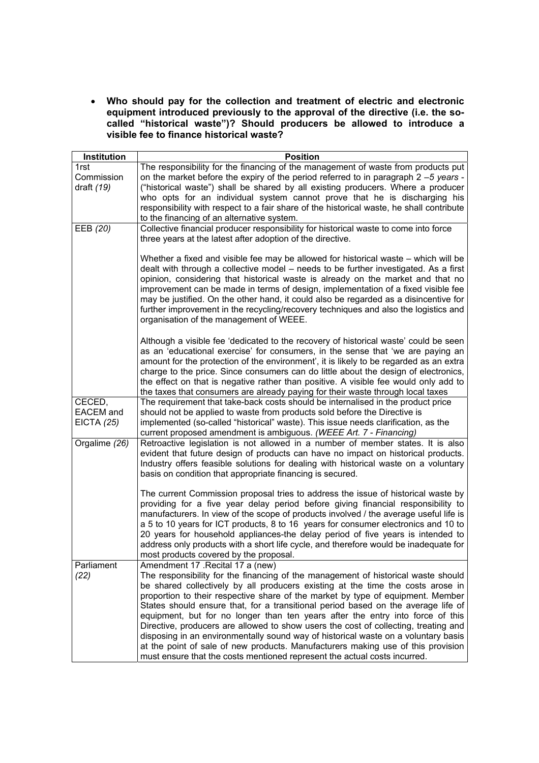• **Who should pay for the collection and treatment of electric and electronic equipment introduced previously to the approval of the directive (i.e. the socalled "historical waste")? Should producers be allowed to introduce a visible fee to finance historical waste?**

| Institution                | <b>Position</b>                                                                                                                                                             |
|----------------------------|-----------------------------------------------------------------------------------------------------------------------------------------------------------------------------|
| 1rst                       | The responsibility for the financing of the management of waste from products put                                                                                           |
| Commission                 | on the market before the expiry of the period referred to in paragraph 2 -5 years -                                                                                         |
| draft $(19)$               | ("historical waste") shall be shared by all existing producers. Where a producer                                                                                            |
|                            | who opts for an individual system cannot prove that he is discharging his                                                                                                   |
|                            | responsibility with respect to a fair share of the historical waste, he shall contribute                                                                                    |
|                            | to the financing of an alternative system.                                                                                                                                  |
| EEB (20)                   | Collective financial producer responsibility for historical waste to come into force                                                                                        |
|                            | three years at the latest after adoption of the directive.                                                                                                                  |
|                            |                                                                                                                                                                             |
|                            | Whether a fixed and visible fee may be allowed for historical waste – which will be<br>dealt with through a collective model – needs to be further investigated. As a first |
|                            | opinion, considering that historical waste is already on the market and that no                                                                                             |
|                            | improvement can be made in terms of design, implementation of a fixed visible fee                                                                                           |
|                            | may be justified. On the other hand, it could also be regarded as a disincentive for                                                                                        |
|                            | further improvement in the recycling/recovery techniques and also the logistics and                                                                                         |
|                            | organisation of the management of WEEE.                                                                                                                                     |
|                            |                                                                                                                                                                             |
|                            | Although a visible fee 'dedicated to the recovery of historical waste' could be seen                                                                                        |
|                            | as an 'educational exercise' for consumers, in the sense that 'we are paying an                                                                                             |
|                            | amount for the protection of the environment', it is likely to be regarded as an extra                                                                                      |
|                            | charge to the price. Since consumers can do little about the design of electronics,                                                                                         |
|                            | the effect on that is negative rather than positive. A visible fee would only add to                                                                                        |
|                            | the taxes that consumers are already paying for their waste through local taxes                                                                                             |
| CECED,<br><b>EACEM</b> and | The requirement that take-back costs should be internalised in the product price<br>should not be applied to waste from products sold before the Directive is               |
| <b>EICTA (25)</b>          | implemented (so-called "historical" waste). This issue needs clarification, as the                                                                                          |
|                            | current proposed amendment is ambiguous. (WEEE Art. 7 - Financing)                                                                                                          |
| Orgalime (26)              | Retroactive legislation is not allowed in a number of member states. It is also                                                                                             |
|                            | evident that future design of products can have no impact on historical products.                                                                                           |
|                            | Industry offers feasible solutions for dealing with historical waste on a voluntary                                                                                         |
|                            | basis on condition that appropriate financing is secured.                                                                                                                   |
|                            |                                                                                                                                                                             |
|                            | The current Commission proposal tries to address the issue of historical waste by                                                                                           |
|                            | providing for a five year delay period before giving financial responsibility to                                                                                            |
|                            | manufacturers. In view of the scope of products involved / the average useful life is                                                                                       |
|                            | a 5 to 10 years for ICT products, 8 to 16 years for consumer electronics and 10 to<br>20 years for household appliances-the delay period of five years is intended to       |
|                            | address only products with a short life cycle, and therefore would be inadequate for                                                                                        |
|                            | most products covered by the proposal.                                                                                                                                      |
| Parliament                 | Amendment 17 . Recital 17 a (new)                                                                                                                                           |
| (22)                       | The responsibility for the financing of the management of historical waste should                                                                                           |
|                            | be shared collectively by all producers existing at the time the costs arose in                                                                                             |
|                            | proportion to their respective share of the market by type of equipment. Member                                                                                             |
|                            | States should ensure that, for a transitional period based on the average life of                                                                                           |
|                            | equipment, but for no longer than ten years after the entry into force of this                                                                                              |
|                            | Directive, producers are allowed to show users the cost of collecting, treating and                                                                                         |
|                            | disposing in an environmentally sound way of historical waste on a voluntary basis                                                                                          |
|                            | at the point of sale of new products. Manufacturers making use of this provision                                                                                            |
|                            | must ensure that the costs mentioned represent the actual costs incurred.                                                                                                   |